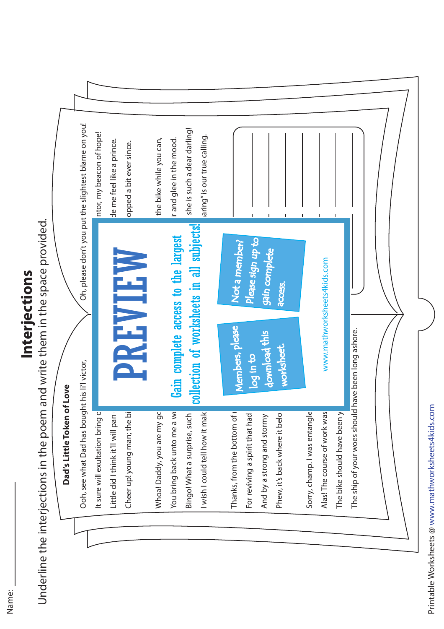

**Interjections in the poem and write them in the space provided.**<br>Underline the interjections in the poem and write them in the space provided.